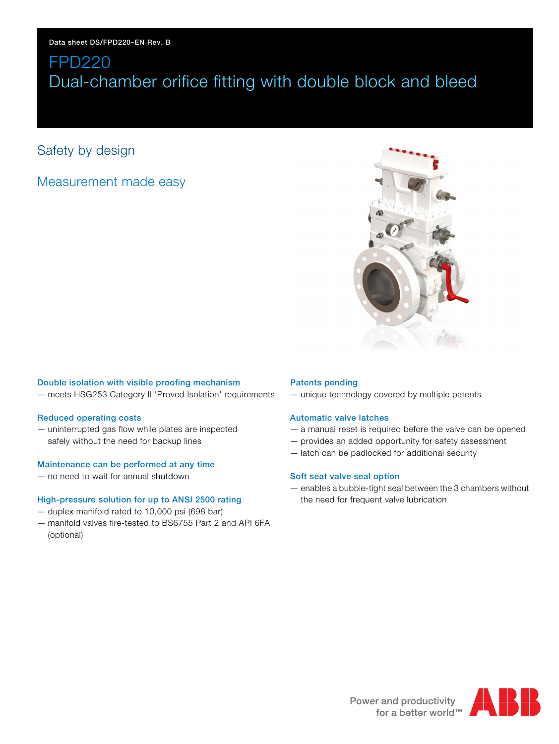# Safety by design

# Measurement made easy



# Double isolation with visible proofing mechanism

— meets HSG253 Category II 'Proved Isolation' requirements

### Reduced operating costs

— uninterrupted gas flow while plates are inspected safely without the need for backup lines

## Maintenance can be performed at any time

— no need to wait for annual shutdown

# High-pressure solution for up to ANSI 2500 rating

- duplex manifold rated to 10,000 psi (698 bar)
- manifold valves fire-tested to BS6755 Part 2 and API 6FA (optional)

# Patents pending

— unique technology covered by multiple patents

# Automatic valve latches

- a manual reset is required before the valve can be opened
- provides an added opportunity for safety assessment
- latch can be padlocked for additional security

# Soft seat valve seal option

— enables a bubble-tight seal between the 3 chambers without the need for frequent valve lubrication

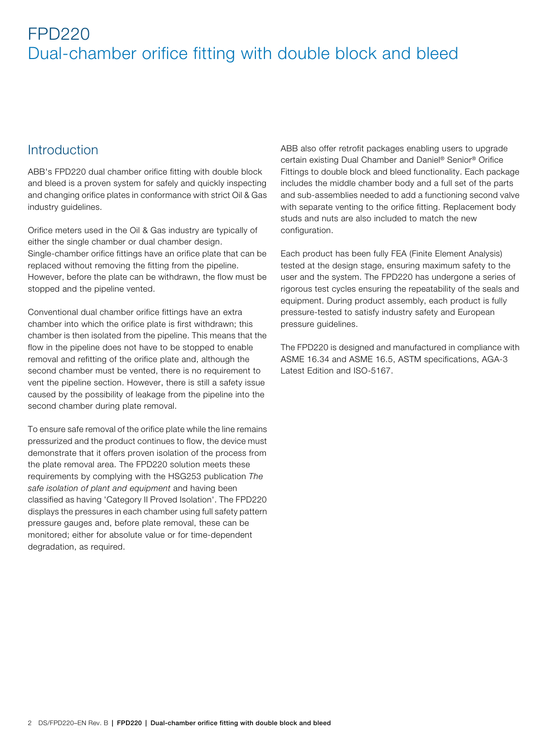# Introduction

ABB's FPD220 dual chamber orifice fitting with double block and bleed is a proven system for safely and quickly inspecting and changing orifice plates in conformance with strict Oil & Gas industry guidelines.

Orifice meters used in the Oil & Gas industry are typically of either the single chamber or dual chamber design. Single-chamber orifice fittings have an orifice plate that can be replaced without removing the fitting from the pipeline. However, before the plate can be withdrawn, the flow must be stopped and the pipeline vented.

Conventional dual chamber orifice fittings have an extra chamber into which the orifice plate is first withdrawn; this chamber is then isolated from the pipeline. This means that the flow in the pipeline does not have to be stopped to enable removal and refitting of the orifice plate and, although the second chamber must be vented, there is no requirement to vent the pipeline section. However, there is still a safety issue caused by the possibility of leakage from the pipeline into the second chamber during plate removal.

To ensure safe removal of the orifice plate while the line remains pressurized and the product continues to flow, the device must demonstrate that it offers proven isolation of the process from the plate removal area. The FPD220 solution meets these requirements by complying with the HSG253 publication The safe isolation of plant and equipment and having been classified as having 'Category II Proved Isolation'. The FPD220 displays the pressures in each chamber using full safety pattern pressure gauges and, before plate removal, these can be monitored; either for absolute value or for time-dependent degradation, as required.

ABB also offer retrofit packages enabling users to upgrade certain existing Dual Chamber and Daniel® Senior® Orifice Fittings to double block and bleed functionality. Each package includes the middle chamber body and a full set of the parts and sub-assemblies needed to add a functioning second valve with separate venting to the orifice fitting. Replacement body studs and nuts are also included to match the new configuration.

Each product has been fully FEA (Finite Element Analysis) tested at the design stage, ensuring maximum safety to the user and the system. The FPD220 has undergone a series of rigorous test cycles ensuring the repeatability of the seals and equipment. During product assembly, each product is fully pressure-tested to satisfy industry safety and European pressure guidelines.

The FPD220 is designed and manufactured in compliance with ASME 16.34 and ASME 16.5, ASTM specifications, AGA-3 Latest Edition and ISO-5167.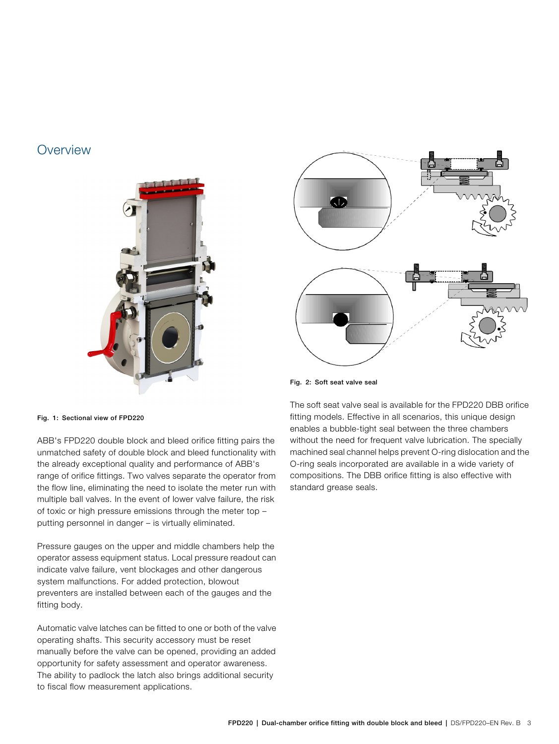# **Overview**





Fig. 2: Soft seat valve seal

Fig. 1: Sectional view of FPD220

ABB's FPD220 double block and bleed orifice fitting pairs the unmatched safety of double block and bleed functionality with the already exceptional quality and performance of ABB's range of orifice fittings. Two valves separate the operator from the flow line, eliminating the need to isolate the meter run with multiple ball valves. In the event of lower valve failure, the risk of toxic or high pressure emissions through the meter top – putting personnel in danger – is virtually eliminated.

Pressure gauges on the upper and middle chambers help the operator assess equipment status. Local pressure readout can indicate valve failure, vent blockages and other dangerous system malfunctions. For added protection, blowout preventers are installed between each of the gauges and the fitting body.

Automatic valve latches can be fitted to one or both of the valve operating shafts. This security accessory must be reset manually before the valve can be opened, providing an added opportunity for safety assessment and operator awareness. The ability to padlock the latch also brings additional security to fiscal flow measurement applications.

The soft seat valve seal is available for the FPD220 DBB orifice fitting models. Effective in all scenarios, this unique design enables a bubble-tight seal between the three chambers without the need for frequent valve lubrication. The specially machined seal channel helps prevent O-ring dislocation and the O-ring seals incorporated are available in a wide variety of compositions. The DBB orifice fitting is also effective with standard grease seals.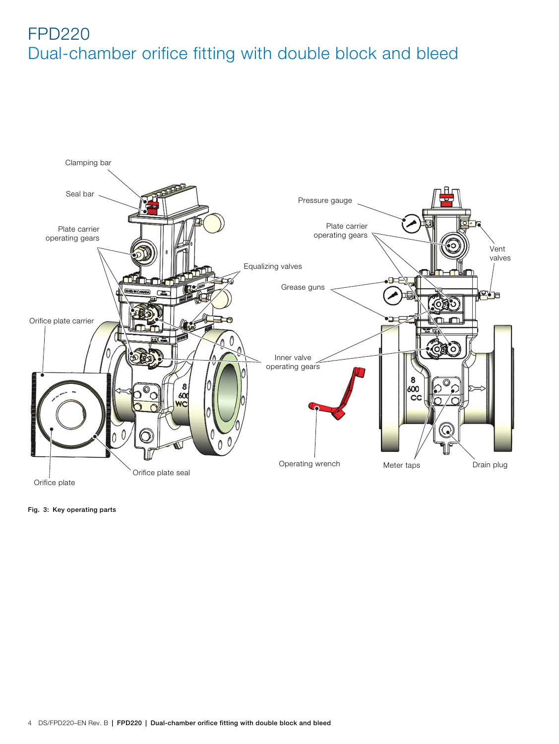

Fig. 3: Key operating parts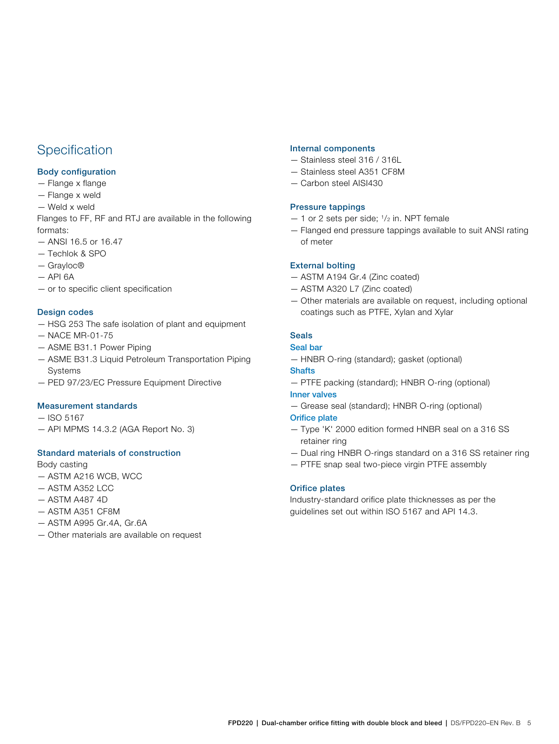# **Specification**

# Body configuration

- Flange x flange
- Flange x weld
- Weld x weld

Flanges to FF, RF and RTJ are available in the following formats:

- ANSI 16.5 or 16.47
- Techlok & SPO
- Grayloc®
- $-$  API 6A
- or to specific client specification

# Design codes

- HSG 253 The safe isolation of plant and equipment
- NACE MR-01-75
- ASME B31.1 Power Piping
- ASME B31.3 Liquid Petroleum Transportation Piping Systems
- PED 97/23/EC Pressure Equipment Directive

# Measurement standards

- ISO 5167
- API MPMS 14.3.2 (AGA Report No. 3)

# Standard materials of construction

Body casting

- ASTM A216 WCB, WCC
- ASTM A352 LCC
- ASTM A487 4D
- ASTM A351 CF8M
- ASTM A995 Gr.4A, Gr.6A
- Other materials are available on request

### Internal components

- Stainless steel 316 / 316L
- Stainless steel A351 CF8M
- Carbon steel AISI430

## Pressure tappings

- $-1$  or 2 sets per side;  $\frac{1}{2}$  in. NPT female
- Flanged end pressure tappings available to suit ANSI rating of meter

## External bolting

- ASTM A194 Gr.4 (Zinc coated)
- ASTM A320 L7 (Zinc coated)
- Other materials are available on request, including optional coatings such as PTFE, Xylan and Xylar

# Seals

## Seal bar

— HNBR O-ring (standard); gasket (optional)

# **Shafts**

— PTFE packing (standard); HNBR O-ring (optional)

### Inner valves

— Grease seal (standard); HNBR O-ring (optional)

### Orifice plate

- Type 'K' 2000 edition formed HNBR seal on a 316 SS retainer ring
- Dual ring HNBR O-rings standard on a 316 SS retainer ring
- PTFE snap seal two-piece virgin PTFE assembly

# Orifice plates

Industry-standard orifice plate thicknesses as per the guidelines set out within ISO 5167 and API 14.3.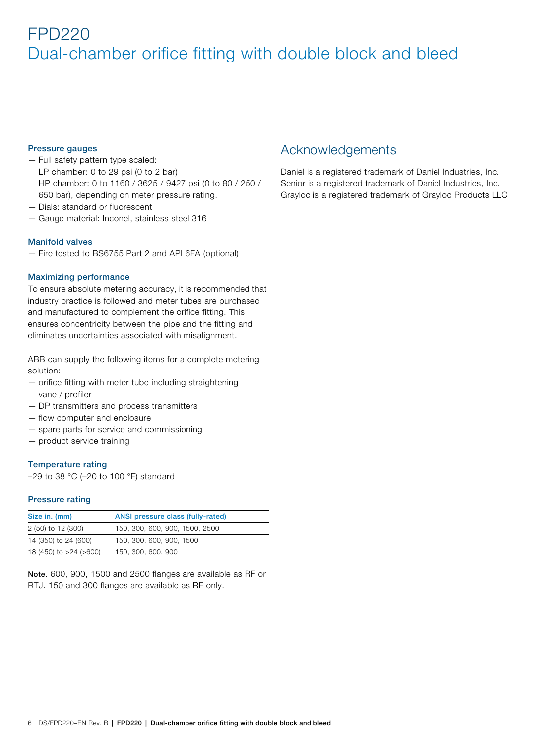## Pressure gauges

- Full safety pattern type scaled: LP chamber: 0 to 29 psi (0 to 2 bar) HP chamber: 0 to 1160 / 3625 / 9427 psi (0 to 80 / 250 / 650 bar), depending on meter pressure rating.
- Dials: standard or fluorescent
- Gauge material: Inconel, stainless steel 316

### Manifold valves

— Fire tested to BS6755 Part 2 and API 6FA (optional)

### Maximizing performance

To ensure absolute metering accuracy, it is recommended that industry practice is followed and meter tubes are purchased and manufactured to complement the orifice fitting. This ensures concentricity between the pipe and the fitting and eliminates uncertainties associated with misalignment.

ABB can supply the following items for a complete metering solution:

- orifice fitting with meter tube including straightening vane / profiler
- DP transmitters and process transmitters
- flow computer and enclosure
- spare parts for service and commissioning
- product service training

### Temperature rating

–29 to 38 °C (–20 to 100 °F) standard

### Pressure rating

| Size in. (mm)          | ANSI pressure class (fully-rated) |
|------------------------|-----------------------------------|
| 2 (50) to 12 (300)     | 150, 300, 600, 900, 1500, 2500    |
| 14 (350) to 24 (600)   | 150, 300, 600, 900, 1500          |
| 18 (450) to >24 (>600) | 150, 300, 600, 900                |

**Note**. 600, 900, 1500 and 2500 flanges are available as RF or RTJ. 150 and 300 flanges are available as RF only.

# Acknowledgements

Daniel is a registered trademark of Daniel Industries, Inc. Senior is a registered trademark of Daniel Industries, Inc. Grayloc is a registered trademark of Grayloc Products LLC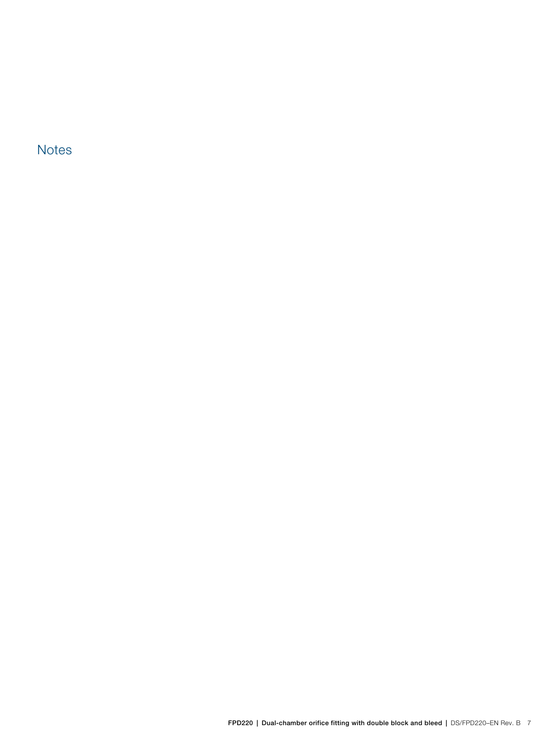**Notes**